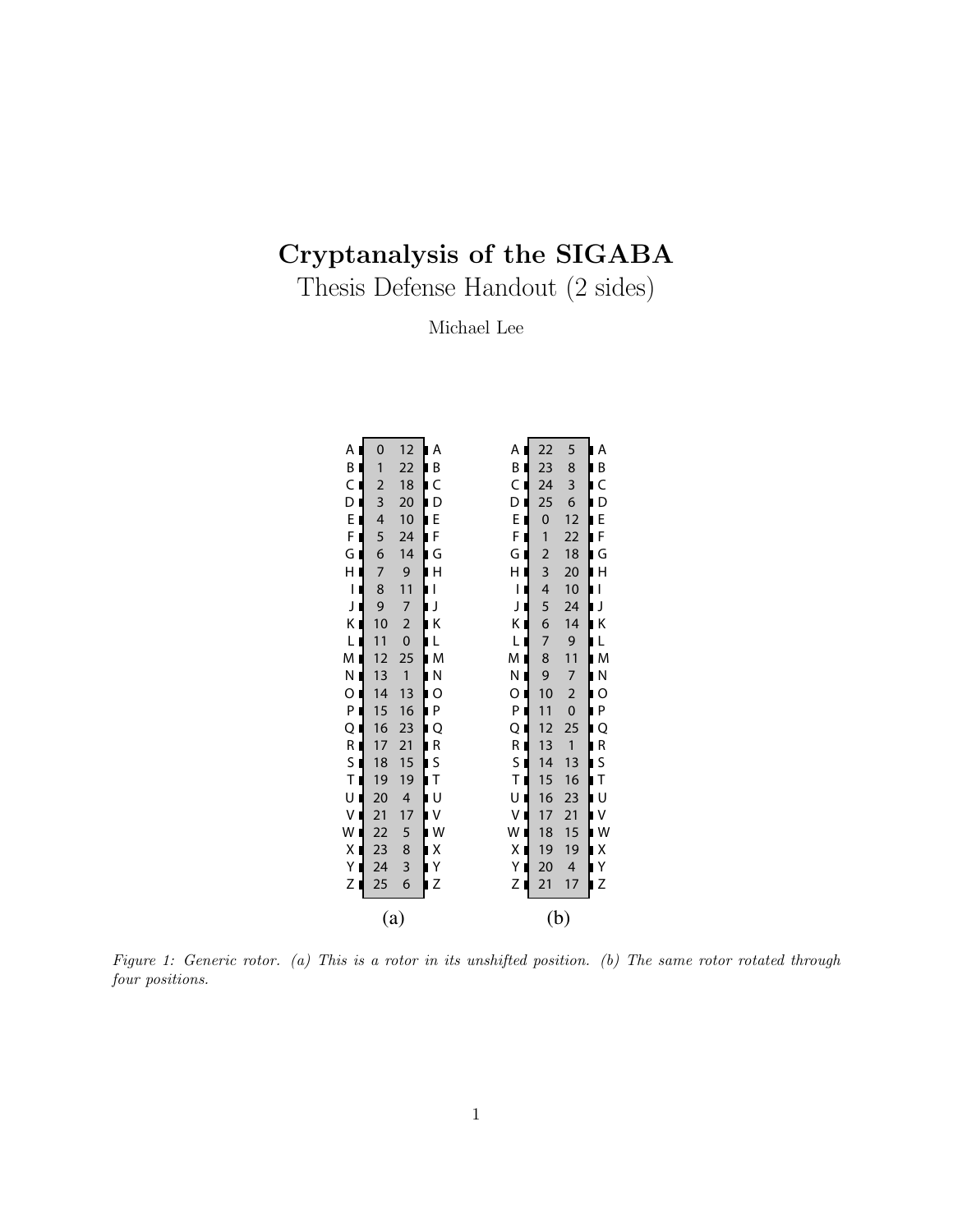## Cryptanalysis of the SIGABA

Thesis Defense Handout (2 sides)

Michael Lee

| Α                                                     | $\mathbf 0$     | 12                       | Α<br>h                        | Α                                               | 22             | 5              | $\blacklozenge$<br>Α         |  |  |  |  |
|-------------------------------------------------------|-----------------|--------------------------|-------------------------------|-------------------------------------------------|----------------|----------------|------------------------------|--|--|--|--|
| B                                                     | 1               | 22                       | 1<br>B                        | B                                               | 23             | 8              | ┇<br>B                       |  |  |  |  |
| $\mathsf C$                                           | $\overline{c}$  | 18                       | þ<br>C                        | C<br>D                                          | 24             | 3              | C                            |  |  |  |  |
| Ľ<br>D                                                | 3               | 20                       | ╽<br>D                        | ┪                                               | 25             | 6              | D<br>╞                       |  |  |  |  |
| l<br>E                                                | 4               | 10                       | L<br>E                        | E<br>₫                                          | $\mathbf{0}$   | 12             | ┇                            |  |  |  |  |
| F                                                     | 5               | 24                       | <b>:</b>                      |                                                 | $\overline{1}$ | 22             | E<br>F                       |  |  |  |  |
| ┫<br>G                                                | 6               | 14                       | F<br>G<br>Ĺ,                  | $\frac{F}{G}$<br>$\blacksquare$                 | $\overline{a}$ | 18             | <br> <br> -<br>.<br>G        |  |  |  |  |
| H                                                     | 7               | 9                        | þ<br>H                        | ┪                                               | 3              | 20             | $\overline{\mathsf{H}}$      |  |  |  |  |
| $\overline{1}$                                        | 8               | 11                       | þ<br>$\overline{1}$           | J                                               | 4              | 10             | $\mathsf{I}$                 |  |  |  |  |
| l                                                     | 9               | $\overline{7}$           |                               | $\begin{array}{c} H \\ I \\ J \end{array}$<br>┫ | 5              | 24             | J                            |  |  |  |  |
| J<br>K                                                | 10              | $\overline{c}$           | ן<br>∎k                       | ĸ∎                                              | 6              | 14             | ׀<br>׀<br>K<br>L             |  |  |  |  |
| ŕ<br>L                                                | 11              | $\mathbf 0$              | ╞<br>L                        | L                                               | 7              | 9              |                              |  |  |  |  |
| M                                                     | 12              | 25                       | þ<br>M                        | M<br>┪                                          | 8              | 11             | $\mathsf{M}$                 |  |  |  |  |
| <br> <br> <br>N                                       | 13              | $\mathbf{1}$             | þ<br>N                        | $\overline{\P}$<br>N                            | 9              | $\overline{7}$ | $\overline{\mathsf{N}}$      |  |  |  |  |
| O                                                     | 14              | 13                       | $\overline{\phantom{a}}$<br>O | $\mathbf{I}$<br>$\circ$                         | 10             | $\overline{a}$ | $\circ$                      |  |  |  |  |
| İ                                                     | 15              | 16                       | P                             | ┫                                               | 11             | $\mathbf 0$    |                              |  |  |  |  |
| $\begin{array}{c}\n P \\ Q \\ R\n \end{array}$        | 16              | 23                       | <br> <br>Q                    | $\frac{P}{Q}$<br>┪                              | 12             | 25             | P<br>Q<br>R<br>S             |  |  |  |  |
| ┪                                                     | 17              | 21                       | R                             |                                                 | 13             | $\overline{1}$ |                              |  |  |  |  |
| $\mathsf S$                                           | 18              | 15                       | <br> <br> <br>S               |                                                 | 14             | 13             | $\overline{\phantom{a}}$     |  |  |  |  |
| ┫<br>$\bar{T}$                                        | 19              | 19                       | $\bar{1}$                     | R<br>S<br>T<br>U                                | 15             | 16             | $\bar{T}$                    |  |  |  |  |
| $\begin{bmatrix} 0 \\ 0 \\ 0 \\ 0 \\ 0 \end{bmatrix}$ | 20              | $\overline{\mathcal{L}}$ | $\mathbf{U}$<br> <br> <br>    |                                                 | 16             | 23             | $\cup$                       |  |  |  |  |
|                                                       | 21              | 17                       | V                             | V                                               | 17             | 21             | <br> <br> -<br>$\frac{v}{w}$ |  |  |  |  |
|                                                       | $\overline{22}$ | 5                        | W                             | W                                               | 18             | 15             |                              |  |  |  |  |
| Ľ<br>X                                                | 23              | 8                        | ŀ<br>X                        | $\mathbf{I}$<br>X                               | 19             | 19             | X                            |  |  |  |  |
| Υ                                                     | 24              | 3                        | Y<br>Z                        | Y I                                             | 20             | 4              | Y<br>Z                       |  |  |  |  |
| Z                                                     | 25              | 6                        |                               | Z                                               | 21             | 17             | ١                            |  |  |  |  |
|                                                       |                 | $\left( \text{a}\right)$ |                               |                                                 | (b)            |                |                              |  |  |  |  |

Figure 1: Generic rotor. (a) This is a rotor in its unshifted position. (b) The same rotor rotated through four positions.